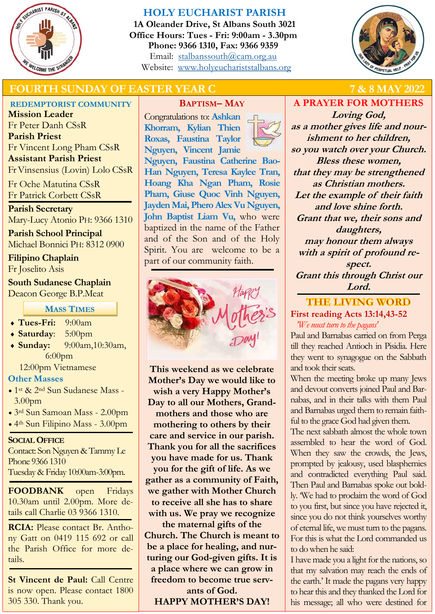

## **HOLY EUCHARIST PARISH**

**1A Oleander Drive, St Albans South 3021 Office Hours: Tues - Fri: 9:00am - 3.30pm Phone: 9366 1310, Fax: 9366 9359** Email: [stalbanssouth@cam.org.au](mailto:stalbanssouth@cam.org.au) Website:[www.holyeuchariststalbans.org](http://www.holyeuchariststalbans.org)



# **FOURTH SUNDAY OF EASTER YEAR C 7 & 8 MAY 2022**

## **REDEMPTORIST COMMUNITY**

**Mission Leader** Fr Peter Danh CSsR **Parish Priest** Fr Vincent Long Pham CSsR **Assistant Parish Priest**  Fr Vinsensius (Lovin) Lolo CSsR

Fr Oche Matutina CSsR Fr Patrick Corbett CSsR

**Parish Secretary** Mary-Lucy Atonio PH: 9366 1310

**Parish School Principal** Michael Bonnici PH: 8312 0900

**Filipino Chaplain** Fr Joselito Asis

**South Sudanese Chaplain** Deacon George B.P.Meat

**MASS TIMES**

- **Tues-Fri:** 9:00am
- **Saturday**: 5:00pm
- **Sunday:** 9:00am,10:30am, 6:00pm

12:00pm Vietnamese

### **Other Masses**

- 1st & 2nd Sun Sudanese Mass 3.00pm
- 3rd Sun Samoan Mass 2.00pm
- 4th Sun Filipino Mass 3.00pm

**SOCIAL OFFICE**

Contact: Son Nguyen & Tammy Le Phone 9366 1310 Tuesday & Friday 10:00am-3:00pm.

**FOODBANK** open Fridays 10.30am until 2.00pm. More details call Charlie 03 9366 1310.

**RCIA:** Please contact Br. Anthony Gatt on 0419 115 692 or call the Parish Office for more details.

**St Vincent de Paul:** Call Centre is now open. Please contact 1800 305 330. Thank you.

**BAPTISM– MAY**

Congratulations to: **Ashkan Khorram, Kylian Thien Roxas, Faustina Taylor Nguyen, Vincent Jamie Nguyen, Faustina Catherine Bao-Han Nguyen, Teresa Kaylee Tran, Hoang Kha Ngan Pham, Rosie Pham, Giuse Quoc Vinh Nguyen, Jayden Mai, Phero Alex Vu Nguyen, John Baptist Liam Vu,** who were baptized in the name of the Father and of the Son and of the Holy Spirit. You are welcome to be a part of our community faith.



**This weekend as we celebrate Mother's Day we would like to wish a very Happy Mother's Day to all our Mothers, Grandmothers and those who are mothering to others by their care and service in our parish. Thank you for all the sacrifices you have made for us. Thank you for the gift of life. As we gather as a community of Faith, we gather with Mother Church to receive all she has to share with us. We pray we recognize** 

**the maternal gifts of the Church. The Church is meant to be a place for healing, and nurturing our God-given gifts. It is a place where we can grow in freedom to become true servants of God.** 

**HAPPY MOTHER'S DAY!**

**A PRAYER FOR MOTHERS**

**Loving God, as a mother gives life and nourishment to her children, so you watch over your Church. Bless these women, that they may be strengthened as Christian mothers. Let the example of their faith and love shine forth. Grant that we, their sons and daughters, may honour them always with a spirit of profound respect. Grant this through Christ our Lord.**

# **THE LIVING WORD First reading Acts 13:14,43-52**

*'We must turn to the pagans'*

Paul and Barnabas carried on from Perga till they reached Antioch in Pisidia. Here they went to synagogue on the Sabbath and took their seats.

When the meeting broke up many Jews and devout converts joined Paul and Barnabas, and in their talks with them Paul and Barnabas urged them to remain faithful to the grace God had given them.

The next sabbath almost the whole town assembled to hear the word of God. When they saw the crowds, the Jews, prompted by jealousy, used blasphemies and contradicted everything Paul said. Then Paul and Barnabas spoke out boldly. 'We had to proclaim the word of God to you first, but since you have rejected it, since you do not think yourselves worthy of eternal life, we must turn to the pagans. For this is what the Lord commanded us to do when he said:

I have made you a light for the nations, so that my salvation may reach the ends of the earth.' It made the pagans very happy to hear this and they thanked the Lord for his message; all who were destined for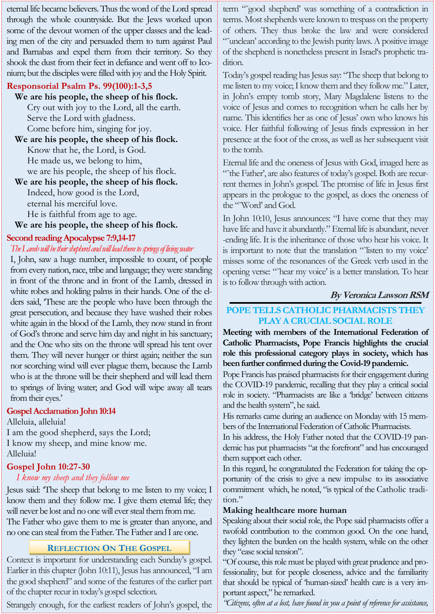eternal life became believers. Thus the word of the Lord spread through the whole countryside. But the Jews worked upon some of the devout women of the upper classes and the leading men of the city and persuaded them to turn against Paul and Barnabas and expel them from their territory. So they shook the dust from their feet in defiance and went off to Iconium; but the disciples were filled with joy and the Holy Spirit.

### **Responsorial Psalm Ps. 99(100):1-3,5**

**We are his people, the sheep of his flock.** Cry out with joy to the Lord, all the earth. Serve the Lord with gladness. Come before him, singing for joy.

**We are his people, the sheep of his flock.** Know that he, the Lord, is God. He made us, we belong to him, we are his people, the sheep of his flock.

## **We are his people, the sheep of his flock.** Indeed, how good is the Lord, eternal his merciful love. He is faithful from age to age.

**We are his people, the sheep of his flock.**

## **Second reading Apocalypse 7:9,14-17**

## *The Lamb will be their shepherd and will lead them to springs of living water*

I, John, saw a huge number, impossible to count, of people from every nation, race, tribe and language; they were standing in front of the throne and in front of the Lamb, dressed in white robes and holding palms in their hands. One of the elders said, 'These are the people who have been through the great persecution, and because they have washed their robes white again in the blood of the Lamb, they now stand in front of God's throne and serve him day and night in his sanctuary; and the One who sits on the throne will spread his tent over them. They will never hunger or thirst again; neither the sun nor scorching wind will ever plague them, because the Lamb who is at the throne will be their shepherd and will lead them to springs of living water; and God will wipe away all tears from their eyes.'

### **Gospel Acclamation John 10:14**

Alleluia, alleluia! I am the good shepherd, says the Lord; I know my sheep, and mine know me. Alleluia!

# **Gospel John 10:27-30**

## *I know my sheep and they follow me*

Jesus said: 'The sheep that belong to me listen to my voice; I know them and they follow me. I give them eternal life; they will never be lost and no one will ever steal them from me. The Father who gave them to me is greater than anyone, and no one can steal from the Father. The Father and I are one.

## **REFLECTION ON THE GOSPEL**

Context is important for understanding each Sunday's gospel. Earlier in this chapter (John 10:11), Jesus has announced, "I am the good shepherd" and some of the features of the earlier part of the chapter recur in today's gospel selection.

Strangely enough, for the earliest readers of John's gospel, the

term "˜good shepherd' was something of a contradiction in terms. Most shepherds were known to trespass on the property of others. They thus broke the law and were considered "˜unclean' according to the Jewish purity laws. A positive image of the shepherd is nonetheless present in Israel's prophetic tradition.

Today's gospel reading has Jesus say: "The sheep that belong to me listen to my voice; I know them and they follow me." Later, in John's empty tomb story, Mary Magdalene listens to the voice of Jesus and comes to recognition when he calls her by name. This identifies her as one of Jesus' own who knows his voice. Her faithful following of Jesus finds expression in her presence at the foot of the cross, as well as her subsequent visit to the tomb.

Eternal life and the oneness of Jesus with God, imaged here as "˜the Father', are also features of today's gospel. Both are recurrent themes in John's gospel. The promise of life in Jesus first appears in the prologue to the gospel, as does the oneness of the "˜Word' and God.

In John 10:10, Jesus announces: "I have come that they may have life and have it abundantly." Eternal life is abundant, never -ending life. It is the inheritance of those who hear his voice. It is important to note that the translation "˜listen to my voice' misses some of the resonances of the Greek verb used in the opening verse: "˜hear my voice' is a better translation. To hear is to follow through with action.

# **By Veronica Lawson RSM**

# **POPE TELLS CATHOLIC PHARMACISTS THEY PLAY A CRUCIAL SOCIAL ROLE**

**Meeting with members of the International Federation of Catholic Pharmacists, Pope Francis highlights the crucial role this professional category plays in society, which has been further confirmed during the Covid-19 pandemic.**

Pope Francis has praised pharmacists for their engagement during the COVID-19 pandemic, recalling that they play a critical social role in society. "Pharmacists are like a 'bridge' between citizens and the health system", he said.

His remarks came during an audience on Monday with 15 members of the International Federation of Catholic Pharmacists.

In his address, the Holy Father noted that the COVID-19 pandemic has put pharmacists "at the forefront" and has encouraged them support each other.

In this regard, he congratulated the Federation for taking the opportunity of the crisis to give a new impulse to its associative commitment which, he noted, "is typical of the Catholic tradition."

### **Making healthcare more human**

Speaking about their social role, the Pope said pharmacists offer a twofold contribution to the common good. On the one hand, they lighten the burden on the health system, while on the other they "ease social tension".

"Of course, this role must be played with great prudence and professionality, but for people closeness, advice and the familiarity that should be typical of 'human-sized' health care is a very important aspect," he remarked.

*"Citizens, often at a lost, have found in you a point of reference for assistance,*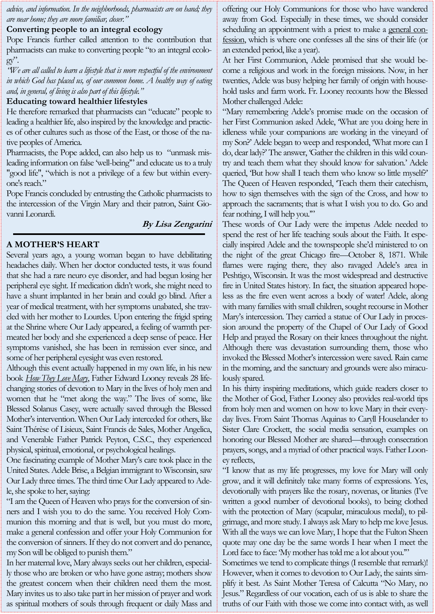*advice, and information. In the neighborhoods, pharmacists are on hand; they are near home; they are more familiar, closer."*

## **Converting people to an integral ecology**

Pope Francis further called attention to the contribution that pharmacists can make to converting people "to an integral ecolo $gy$ ".

*"We are all called to learn a lifestyle that is more respectful of the environment in which God has placed us, of our common home. A healthy way of eating and, in general, of living is also part of this lifestyle."*

## **Educating toward healthier lifestyles**

He therefore remarked that pharmacists can "educate" people to leading a healthier life, also inspired by the knowledge and practices of other cultures such as those of the East, or those of the native peoples of America.

Pharmacists, the Pope added, can also help us to "unmask misleading information on false 'well-being'" and educate us to a truly "good life", "which is not a privilege of a few but within everyone's reach."

Pope Francis concluded by entrusting the Catholic pharmacists to the intercession of the Virgin Mary and their patron, Saint Giovanni Leonardi.

## **By Lisa Zengarini**

# **A MOTHER'S HEART**

Several years ago, a young woman began to have debilitating headaches daily. When her doctor conducted tests, it was found that she had a rare neuro eye disorder, and had begun losing her peripheral eye sight. If medication didn't work, she might need to have a shunt implanted in her brain and could go blind. After a year of medical treatment, with her symptoms unabated, she traveled with her mother to Lourdes. Upon entering the frigid spring at the Shrine where Our Lady appeared, a feeling of warmth permeated her body and she experienced a deep sense of peace. Her symptoms vanished, she has been in remission ever since, and some of her peripheral eyesight was even restored.

Although this event actually happened in my own life, in his new book *[How They Love Mary](https://www.sophiainstitute.com/products/item/how-they-love-mary)*, Father Edward Looney reveals 28 lifechanging stories of devotion to Mary in the lives of holy men and women that he "met along the way." The lives of some, like Blessed Solanus Casey, were actually saved through the Blessed Mother's intervention. When Our Lady interceded for others, like Saint Thérèse of Lisieux, Saint Francis de Sales, Mother Angelica, and Venerable Father Patrick Peyton, C.S.C., they experienced physical, spiritual, emotional, or psychological healings.

One fascinating example of Mother Mary's care took place in the United States. Adele Brise, a Belgian immigrant to Wisconsin, saw Our Lady three times. The third time Our Lady appeared to Adele, she spoke to her, saying:

"I am the Queen of Heaven who prays for the conversion of sinners and I wish you to do the same. You received Holy Communion this morning and that is well, but you must do more, make a general confession and offer your Holy Communion for the conversion of sinners. If they do not convert and do penance, my Son will be obliged to punish them."

In her maternal love, Mary always seeks out her children, especially those who are broken or who have gone astray; mothers show the greatest concern when their children need them the most. Mary invites us to also take part in her mission of prayer and work as spiritual mothers of souls through frequent or daily Mass and offering our Holy Communions for those who have wandered away from God. Especially in these times, we should consider scheduling an appointment with a priest to make a [general con](https://catholicexchange.com/what-is-a-general-confession/)[fession,](https://catholicexchange.com/what-is-a-general-confession/) which is where one confesses all the sins of their life (or an extended period, like a year).

At her First Communion, Adele promised that she would become a religious and work in the foreign missions. Now, in her twenties, Adele was busy helping her family of origin with household tasks and farm work. Fr. Looney recounts how the Blessed Mother challenged Adele:

"Mary remembering Adele's promise made on the occasion of her First Communion asked Adele, 'What are you doing here in idleness while your companions are working in the vineyard of my Son?' Adele began to weep and responded, 'What more can I do, dear lady?' The answer, 'Gather the children in this wild country and teach them what they should know for salvation.' Adele queried, 'But how shall I teach them who know so little myself?' The Queen of Heaven responded, 'Teach them their catechism, how to sign themselves with the sign of the Cross, and how to approach the sacraments; that is what I wish you to do. Go and fear nothing, I will help you.'"

These words of Our Lady were the impetus Adele needed to spend the rest of her life teaching souls about the Faith. It especially inspired Adele and the townspeople she'd ministered to on the night of the great Chicago fire—October 8, 1871. While flames were raging there, they also ravaged Adele's area in Peshtigo, Wisconsin. It was the most widespread and destructive fire in United States history. In fact, the situation appeared hopeless as the fire even went across a body of water! Adele, along with many families with small children, sought recourse in Mother Mary's intercession. They carried a statue of Our Lady in procession around the property of the Chapel of Our Lady of Good Help and prayed the Rosary on their knees throughout the night. Although there was devastation surrounding them, those who invoked the Blessed Mother's intercession were saved. Rain came in the morning, and the sanctuary and grounds were also miraculously spared.

In his thirty inspiring meditations, which guide readers closer to the Mother of God, Father Looney also provides real-world tips from holy men and women on how to love Mary in their everyday lives. From Saint Thomas Aquinas to Caryll Houselander to Sister Clare Crockett, the social media sensation, examples on honoring our Blessed Mother are shared—through consecration prayers, songs, and a myriad of other practical ways. Father Looney reflects,

"I know that as my life progresses, my love for Mary will only grow, and it will definitely take many forms of expressions. Yes, devotionally with prayers like the rosary, novenas, or litanies (I've written a good number of devotional books), to being clothed with the protection of Mary (scapular, miraculous medal), to pilgrimage, and more study. I always ask Mary to help me love Jesus. With all the ways we can love Mary, I hope that the Fulton Sheen quote may one day be the same words I hear when I meet the Lord face to face: 'My mother has told me a lot about you."'

Sometimes we tend to complicate things (I resemble that remark)! However, when it comes to devotion to Our Lady, the saints simplify it best. As Saint Mother Teresa of Calcutta "No Mary, no Jesus." Regardless of our vocation, each of us is able to share the truths of our Faith with those we come into contact with, as well